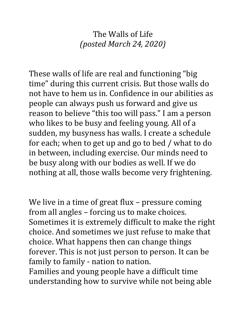## The Walls of Life *(posted March 24, 2020)*

These walls of life are real and functioning "big time" during this current crisis. But those walls do not have to hem us in. Confidence in our abilities as people can always push us forward and give us reason to believe "this too will pass." I am a person who likes to be busy and feeling young. All of a sudden, my busyness has walls. I create a schedule for each; when to get up and go to bed / what to do in between, including exercise. Our minds need to be busy along with our bodies as well. If we do nothing at all, those walls become very frightening.

We live in a time of great flux – pressure coming from all angles – forcing us to make choices. Sometimes it is extremely difficult to make the right choice. And sometimes we just refuse to make that choice. What happens then can change things forever. This is not just person to person. It can be family to family - nation to nation. Families and young people have a difficult time understanding how to survive while not being able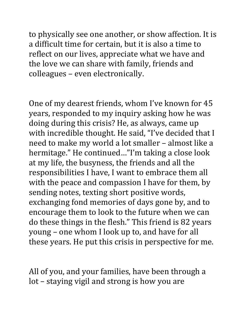to physically see one another, or show affection. It is a difficult time for certain, but it is also a time to reflect on our lives, appreciate what we have and the love we can share with family, friends and colleagues – even electronically.

One of my dearest friends, whom I've known for 45 years, responded to my inquiry asking how he was doing during this crisis? He, as always, came up with incredible thought. He said, "I've decided that I need to make my world a lot smaller – almost like a hermitage." He continued…"I'm taking a close look at my life, the busyness, the friends and all the responsibilities I have, I want to embrace them all with the peace and compassion I have for them, by sending notes, texting short positive words, exchanging fond memories of days gone by, and to encourage them to look to the future when we can do these things in the flesh." This friend is 82 years young – one whom I look up to, and have for all these years. He put this crisis in perspective for me.

All of you, and your families, have been through a lot – staying vigil and strong is how you are